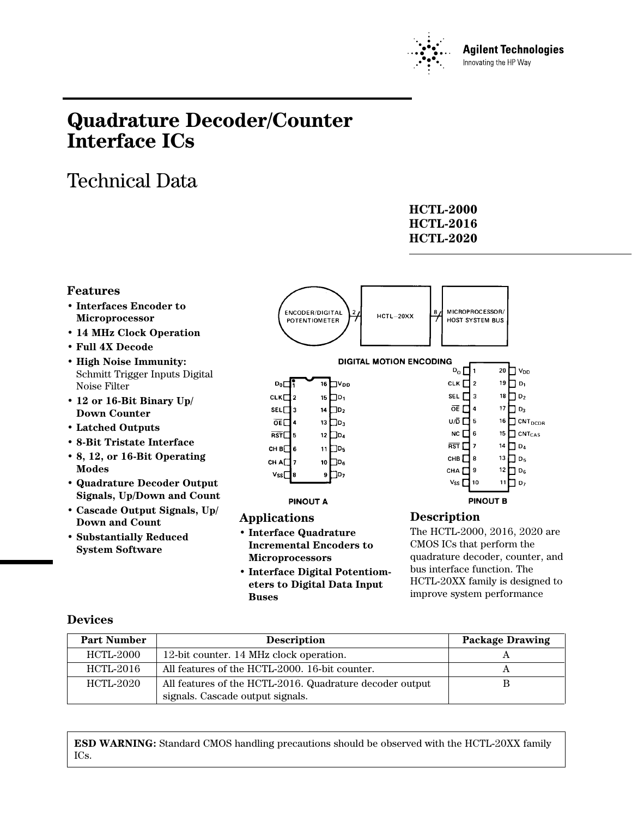

# **Quadrature Decoder/Counter Interface ICs**

# Technical Data

| HCTL-2000        |
|------------------|
| <b>HCTL-2016</b> |
| HCTL-2020        |

### **Features**

- **Interfaces Encoder to Microprocessor**
- **14 MHz Clock Operation**
- **Full 4X Decode**
- **High Noise Immunity:** Schmitt Trigger Inputs Digital Noise Filter
- **12 or 16-Bit Binary Up/ Down Counter**
- **Latched Outputs**
- **8-Bit Tristate Interface**
- **8, 12, or 16-Bit Operating Modes**
- **Quadrature Decoder Output Signals, Up/Down and Count**
- **Cascade Output Signals, Up/ Down and Count**
- **Substantially Reduced System Software**



### **Description**

The HCTL-2000, 2016, 2020 are CMOS ICs that perform the quadrature decoder, counter, and bus interface function. The HCTL-20XX family is designed to improve system performance

| <b>Part Number</b> | <b>Description</b>                                       | <b>Package Drawing</b> |
|--------------------|----------------------------------------------------------|------------------------|
| HCTL-2000          | 12-bit counter. 14 MHz clock operation.                  |                        |
| HCTL-2016          | All features of the HCTL-2000. 16-bit counter.           | Α                      |
| HCTL-2020          | All features of the HCTL-2016. Quadrature decoder output | В                      |
|                    | signals. Cascade output signals.                         |                        |

**• Interface Digital Potentiometers to Digital Data Input**

**Applications**

**Buses**

**• Interface Quadrature Incremental Encoders to**

**Microprocessors**

**ESD WARNING:** Standard CMOS handling precautions should be observed with the HCTL-20XX family ICs.

# **Devices**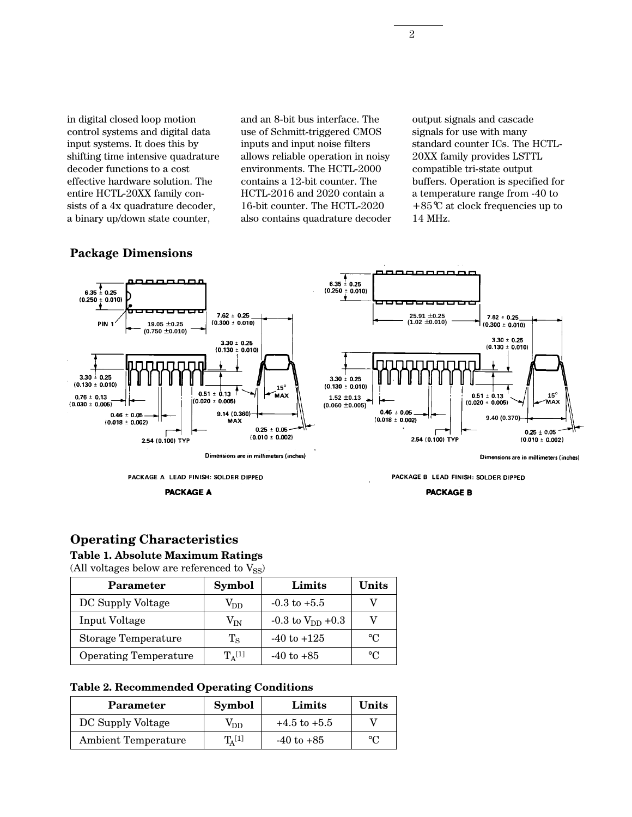in digital closed loop motion control systems and digital data input systems. It does this by shifting time intensive quadrature decoder functions to a cost effective hardware solution. The entire HCTL-20XX family consists of a 4x quadrature decoder, a binary up/down state counter,

and an 8-bit bus interface. The use of Schmitt-triggered CMOS inputs and input noise filters allows reliable operation in noisy environments. The HCTL-2000 contains a 12-bit counter. The HCTL-2016 and 2020 contain a 16-bit counter. The HCTL-2020 also contains quadrature decoder output signals and cascade signals for use with many standard counter ICs. The HCTL-20XX family provides LSTTL compatible tri-state output buffers. Operation is specified for a temperature range from -40 to +85°C at clock frequencies up to 14 MHz.



**PACKAGE A** 

#### **PACKAGE B**

#### **Operating Characteristics**

#### **Table 1. Absolute Maximum Ratings**

(All voltages below are referenced to  $V_{SS}$ )

| <b>Parameter</b>             | <b>Symbol</b>   | Limits                  | Units       |
|------------------------------|-----------------|-------------------------|-------------|
| DC Supply Voltage            | V <sub>DD</sub> | $-0.3$ to $+5.5$        |             |
| <b>Input Voltage</b>         | $\rm V_{IN}$    | $-0.3$ to $V_{DD}$ +0.3 |             |
| Storage Temperature          | $T_{\rm S}$     | $-40$ to $+125$         | $^{\circ}C$ |
| <b>Operating Temperature</b> | $T_A[1]$        | $-40$ to $+85$          | $^{\circ}C$ |

#### **Table 2. Recommended Operating Conditions**

| Parameter                  | <b>Symbol</b>      | Limits           | Units          |
|----------------------------|--------------------|------------------|----------------|
| DC Supply Voltage          | V <sub>DD</sub>    | $+4.5$ to $+5.5$ |                |
| <b>Ambient Temperature</b> | $T_{\Delta}^{[1]}$ | $-40$ to $+85$   | $\circ$ $\cap$ |

#### **Package Dimensions**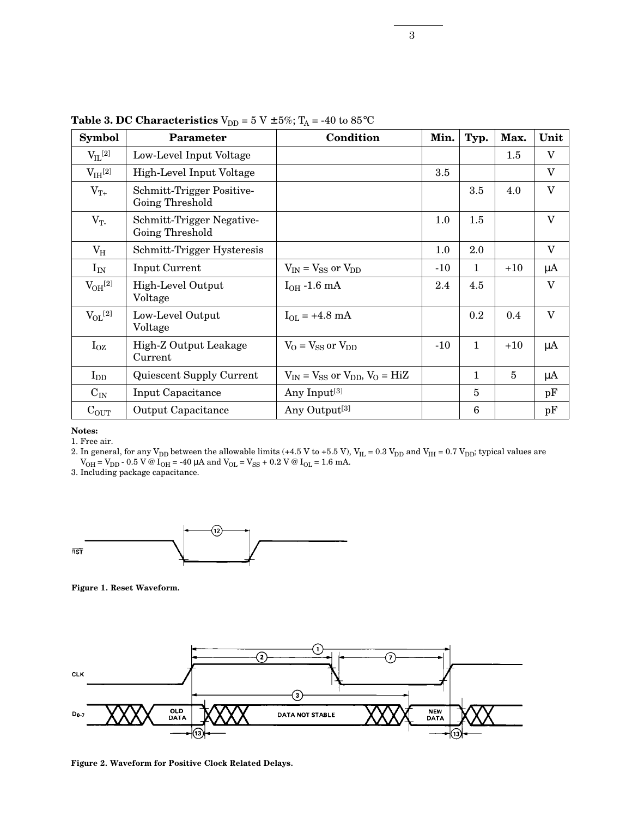| <b>Symbol</b>      | <b>Parameter</b>                             | Condition                                     | Min.    | Typ.           | Max.           | Unit                    |
|--------------------|----------------------------------------------|-----------------------------------------------|---------|----------------|----------------|-------------------------|
| $V_{IL}$ [2]       | Low-Level Input Voltage                      |                                               |         |                | 1.5            | V                       |
| $\rm V_{IH}^{[2]}$ | High-Level Input Voltage                     |                                               | 3.5     |                |                | $\mathbf{V}$            |
| $V_{T+}$           | Schmitt-Trigger Positive-<br>Going Threshold |                                               |         | 3.5            | 4.0            | $\overline{\mathbf{V}}$ |
| $V_T$              | Schmitt-Trigger Negative-<br>Going Threshold |                                               | $1.0\,$ | $1.5\,$        |                | $\overline{\mathbf{V}}$ |
| $\rm V_{H}$        | Schmitt-Trigger Hysteresis                   |                                               | 1.0     | 2.0            |                | $\mathbf{V}$            |
| $I_{IN}$           | <b>Input Current</b>                         | $V_{IN} = V_{SS}$ or $V_{DD}$                 | $-10$   | 1              | $+10$          | $\mu$ A                 |
| $V_{OH}^{[2]}$     | High-Level Output<br>Voltage                 | $I_{OH}$ -1.6 mA                              | 2.4     | 4.5            |                | $\mathbf{V}$            |
| $V_{OL}$ [2]       | Low-Level Output<br>Voltage                  | $I_{OL}$ = +4.8 mA                            |         | 0.2            | 0.4            | $\mathbf{V}$            |
| $I_{OZ}$           | High-Z Output Leakage<br>Current             | $V_O = V_{SS}$ or $V_{DD}$                    | $-10$   | $\mathbf{1}$   | $+10$          | $\mu$ A                 |
| $I_{DD}$           | Quiescent Supply Current                     | $V_{IN} = V_{SS}$ or $V_{DD}$ , $V_{O} = HiZ$ |         | $\mathbf{1}$   | $\overline{5}$ | $\mu$ A                 |
| $\rm{C_{IN}}$      | Input Capacitance                            | Any Input <sup>[3]</sup>                      |         | $\overline{5}$ |                | pF                      |
| $C_{OUT}$          | <b>Output Capacitance</b>                    | Any Output <sup>[3]</sup>                     |         | 6              |                | pF                      |

**Table 3. DC Characteristics**  $V_{DD} = 5 V \pm 5\%$ ;  $T_A = -40$  to  $85^{\circ}$ C

#### **Notes:**

1. Free air.

2. In general, for any  $\rm V_{DD}$  between the allowable limits (+4.5 V to +5.5 V),  $\rm V_{IL}$  = 0.3  $\rm V_{DD}$  and  $\rm V_{IH}$  = 0.7  $\rm V_{DD}$ ; typical values are  $\rm V_{OH}$  =  $\rm V_{DD}$  - 0.5 V @ I<sub>OH</sub> = -40  $\rm \mu A$  and  $\rm V_{OL}$  =  $\rm V_{SS}$  + 0.2 V @ I<sub>OL</sub> = 1.6 mA.

3. Including package capacitance.



**Figure 1. Reset Waveform.**



**Figure 2. Waveform for Positive Clock Related Delays.**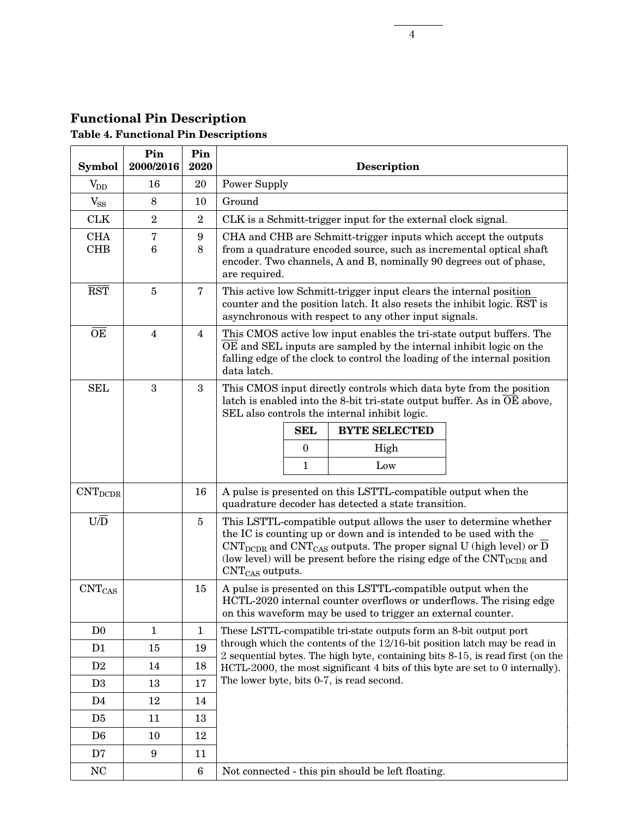# **Functional Pin Description Table 4. Functional Pin Descriptions**

| <b>Symbol</b>                  | Pin<br>2000/2016        | Pin<br>2020      | <b>Description</b>                 |                  |                                                                                                                                                                                                                                                                                                                                               |  |
|--------------------------------|-------------------------|------------------|------------------------------------|------------------|-----------------------------------------------------------------------------------------------------------------------------------------------------------------------------------------------------------------------------------------------------------------------------------------------------------------------------------------------|--|
| $\rm V_{DD}$                   | 16                      | 20               | <b>Power Supply</b>                |                  |                                                                                                                                                                                                                                                                                                                                               |  |
| $V_{SS}$                       | 8                       | 10               | Ground                             |                  |                                                                                                                                                                                                                                                                                                                                               |  |
| <b>CLK</b>                     | $\overline{2}$          | $\boldsymbol{2}$ |                                    |                  | CLK is a Schmitt-trigger input for the external clock signal.                                                                                                                                                                                                                                                                                 |  |
| <b>CHA</b>                     | 7                       | 9                |                                    |                  | CHA and CHB are Schmitt-trigger inputs which accept the outputs                                                                                                                                                                                                                                                                               |  |
| <b>CHB</b>                     | 6                       | 8                | are required.                      |                  | from a quadrature encoded source, such as incremental optical shaft<br>encoder. Two channels, A and B, nominally 90 degrees out of phase,                                                                                                                                                                                                     |  |
| $\overline{\text{RST}}$        | $\overline{5}$          | $\bf 7$          |                                    |                  | This active low Schmitt-trigger input clears the internal position<br>counter and the position latch. It also resets the inhibit logic. RST is<br>asynchronous with respect to any other input signals.                                                                                                                                       |  |
| $\overline{\text{OE}}$         | $\overline{\mathbf{4}}$ | $\overline{4}$   | data latch.                        |                  | This CMOS active low input enables the tri-state output buffers. The<br>OE and SEL inputs are sampled by the internal inhibit logic on the<br>falling edge of the clock to control the loading of the internal position                                                                                                                       |  |
| <b>SEL</b>                     | 3                       | 3                |                                    |                  | This CMOS input directly controls which data byte from the position<br>latch is enabled into the 8-bit tri-state output buffer. As in OE above,<br>SEL also controls the internal inhibit logic.                                                                                                                                              |  |
|                                |                         |                  |                                    | <b>SEL</b>       | <b>BYTE SELECTED</b>                                                                                                                                                                                                                                                                                                                          |  |
|                                |                         |                  |                                    | $\boldsymbol{0}$ | High                                                                                                                                                                                                                                                                                                                                          |  |
|                                |                         |                  |                                    | $\mathbf{1}$     | Low                                                                                                                                                                                                                                                                                                                                           |  |
| $\mathrm{CNT}_{\mathrm{DCDR}}$ |                         | 16               |                                    |                  | A pulse is presented on this LSTTL-compatible output when the<br>quadrature decoder has detected a state transition.                                                                                                                                                                                                                          |  |
| $U\overline{D}$                |                         | $\overline{5}$   | $\text{CNT}_{\text{CAS}}$ outputs. |                  | This LSTTL-compatible output allows the user to determine whether<br>the IC is counting up or down and is intended to be used with the<br>$\text{CNT}_{\text{DCDR}}$ and $\text{CNT}_{\text{CAS}}$ outputs. The proper signal U (high level) or D<br>(low level) will be present before the rising edge of the $\text{CNT}_{\text{DCDR}}$ and |  |
| $\mathrm{CNT}_{\mathrm{CAS}}$  |                         | 15               |                                    |                  | A pulse is presented on this LSTTL-compatible output when the<br>HCTL-2020 internal counter overflows or underflows. The rising edge<br>on this waveform may be used to trigger an external counter.                                                                                                                                          |  |
| D <sub>0</sub>                 | $\mathbf{1}$            | $\mathbf{1}$     |                                    |                  | These LSTTL-compatible tri-state outputs form an 8-bit output port                                                                                                                                                                                                                                                                            |  |
| D <sub>1</sub>                 | 15                      | 19               |                                    |                  | through which the contents of the 12/16-bit position latch may be read in<br>2 sequential bytes. The high byte, containing bits 8-15, is read first (on the                                                                                                                                                                                   |  |
| D2                             | 14                      | 18               |                                    |                  | HCTL-2000, the most significant 4 bits of this byte are set to 0 internally).                                                                                                                                                                                                                                                                 |  |
| D <sub>3</sub>                 | 13                      | 17               |                                    |                  | The lower byte, bits 0-7, is read second.                                                                                                                                                                                                                                                                                                     |  |
| D4                             | 12                      | 14               |                                    |                  |                                                                                                                                                                                                                                                                                                                                               |  |
| D <sub>5</sub>                 | 11                      | 13               |                                    |                  |                                                                                                                                                                                                                                                                                                                                               |  |
| D <sub>6</sub>                 | 10                      | 12               |                                    |                  |                                                                                                                                                                                                                                                                                                                                               |  |
| D7                             | 9                       | 11               |                                    |                  |                                                                                                                                                                                                                                                                                                                                               |  |
| NC                             |                         | $\boldsymbol{6}$ |                                    |                  | Not connected - this pin should be left floating.                                                                                                                                                                                                                                                                                             |  |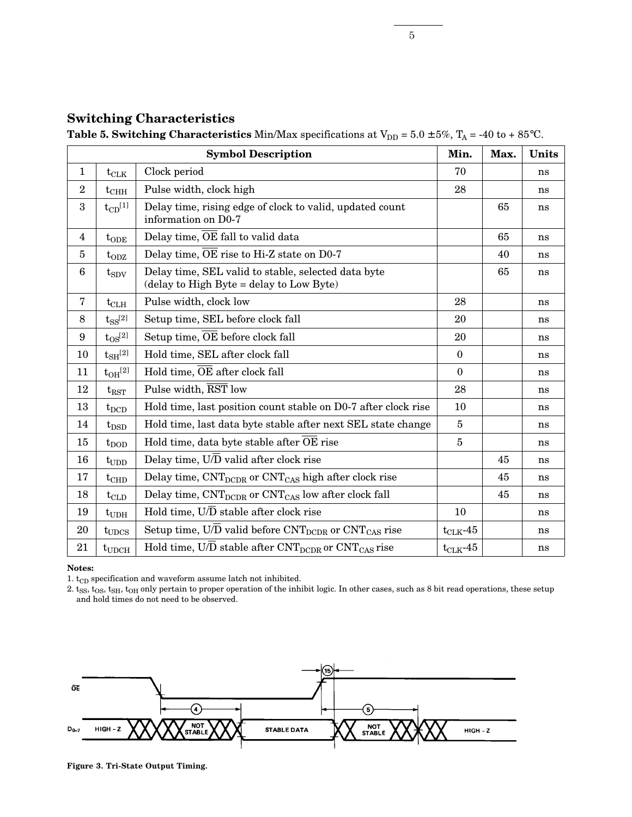|  | <b>Switching Characteristics</b> |
|--|----------------------------------|
|--|----------------------------------|

**Table 5. Switching Characteristics** Min/Max specifications at  $V_{DD} = 5.0 \pm 5\%$ ,  $T_A = -40$  to + 85°C.

|                  |                    | <b>Symbol Description</b>                                                                       | Min.          | Max. | Units |
|------------------|--------------------|-------------------------------------------------------------------------------------------------|---------------|------|-------|
| $\mathbf{1}$     | $t_{\rm CLK}$      | Clock period                                                                                    | 70            |      | ns    |
| $\overline{2}$   | $t_{\rm CHH}$      | Pulse width, clock high                                                                         | 28            |      | ns    |
| $\boldsymbol{3}$ | $t_{CD}^{[1]}$     | Delay time, rising edge of clock to valid, updated count<br>information on D0-7                 |               | 65   | ns    |
| 4                | $t_{ODE}$          | Delay time, $\overline{OE}$ fall to valid data                                                  |               | 65   | ns    |
| 5                | $t_{ODZ}$          | Delay time, OE rise to Hi-Z state on D0-7                                                       |               | 40   | ns    |
| $6\phantom{1}6$  | $t_{SDV}$          | Delay time, SEL valid to stable, selected data byte<br>$(delay to HighByte = delay to LowByte)$ |               | 65   | ns    |
| 7                | $t_{\rm CLH}$      | Pulse width, clock low                                                                          | 28            |      | ns    |
| 8                | $t_{SS}^{[2]}$     | Setup time, SEL before clock fall                                                               | 20            |      | ns    |
| $\boldsymbol{9}$ | $t_{OS}^{[2]}$     | Setup time, OE before clock fall                                                                | 20            |      | ns    |
| 10               | $t_{\rm SH}^{[2]}$ | Hold time, SEL after clock fall                                                                 | $\theta$      |      | ns    |
| 11               | $t_{\rm OH}^{[2]}$ | Hold time, OE after clock fall                                                                  | $\theta$      |      | ns    |
| 12               | $t_{\rm RST}$      | Pulse width, RST low                                                                            | 28            |      | ns    |
| 13               | $t_{\rm DCD}$      | Hold time, last position count stable on D0-7 after clock rise                                  | 10            |      | ns    |
| 14               | $t_{\rm DSD}$      | Hold time, last data byte stable after next SEL state change                                    | 5             |      | ns    |
| 15               | $t_{\rm{DOD}}$     | Hold time, data byte stable after OE rise                                                       | 5             |      | ns    |
| 16               | $t_{\text{UDD}}$   | Delay time, $U/D$ valid after clock rise                                                        |               | 45   | ns    |
| 17               | $t_{\text{CHD}}$   | Delay time, $\text{CNT}_{\text{DCDR}}$ or $\text{CNT}_{\text{CAS}}$ high after clock rise       |               | 45   | ns    |
| 18               | $t_{\rm CLD}$      | Delay time, CNT <sub>DCDR</sub> or CNT <sub>CAS</sub> low after clock fall                      |               | 45   | ns    |
| 19               | $t_{UDH}$          | Hold time, $U/\overline{D}$ stable after clock rise                                             | 10            |      | ns    |
| 20               | $t_{UDCS}$         | Setup time, U/D valid before $\text{CNT}_{\text{DCDR}}$ or $\text{CNT}_{\text{CAS}}$ rise       | $t_{CLK}$ -45 |      | ns    |
| 21               | $t_{UDCH}$         | Hold time, U/D stable after CNT <sub>DCDR</sub> or CNT <sub>CAS</sub> rise                      | $t_{CLK}$ -45 |      | ns    |

#### **Notes:**

1.  $\rm t_{CD}$  specification and waveform assume latch not inhibited.

2.  $t_{SS}$ ,  $t_{OS}$ ,  $t_{SH}$ ,  $t_{OH}$  only pertain to proper operation of the inhibit logic. In other cases, such as 8 bit read operations, these setup and hold times do not need to be observed.



**Figure 3. Tri-State Output Timing.**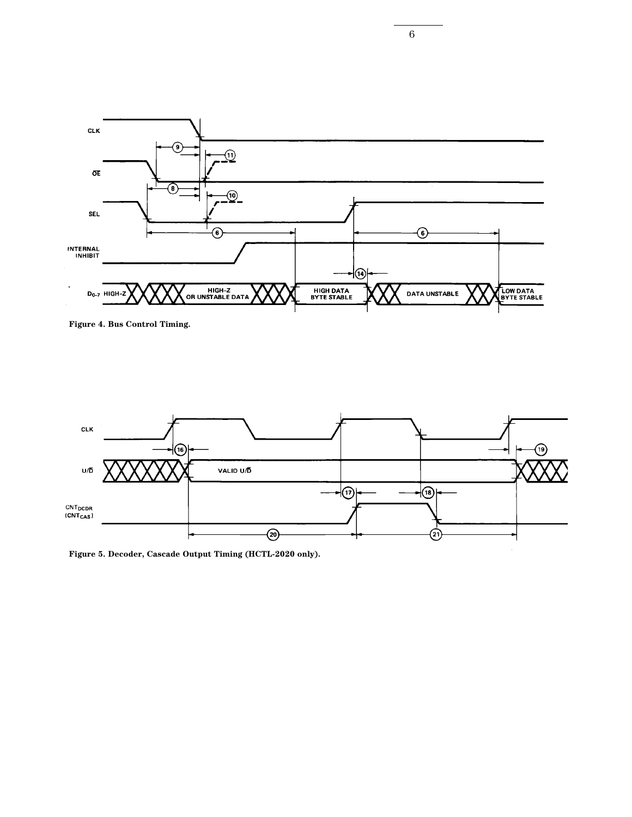

**Figure 4. Bus Control Timing.**



**Figure 5. Decoder, Cascade Output Timing (HCTL-2020 only).**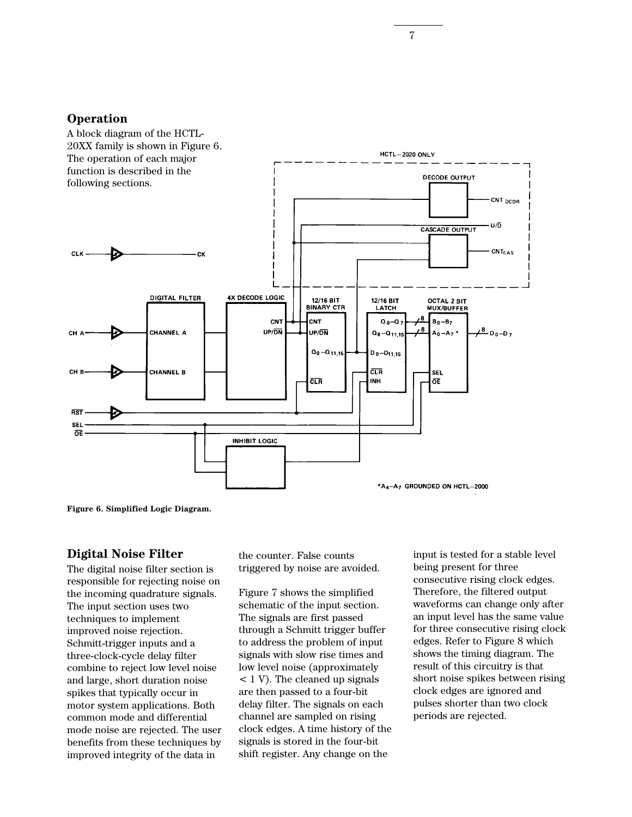#### **Operation**



**Figure 6. Simplified Logic Diagram.**

#### **Digital Noise Filter**

The digital noise filter section is responsible for rejecting noise on the incoming quadrature signals. The input section uses two techniques to implement improved noise rejection. Schmitt-trigger inputs and a three-clock-cycle delay filter combine to reject low level noise and large, short duration noise spikes that typically occur in motor system applications. Both common mode and differential mode noise are rejected. The user benefits from these techniques by improved integrity of the data in

the counter. False counts triggered by noise are avoided.

Figure 7 shows the simplified schematic of the input section. The signals are first passed through a Schmitt trigger buffer to address the problem of input signals with slow rise times and low level noise (approximately < 1 V). The cleaned up signals are then passed to a four-bit delay filter. The signals on each channel are sampled on rising clock edges. A time history of the signals is stored in the four-bit shift register. Any change on the

input is tested for a stable level being present for three consecutive rising clock edges. Therefore, the filtered output waveforms can change only after an input level has the same value for three consecutive rising clock edges. Refer to Figure 8 which shows the timing diagram. The result of this circuitry is that short noise spikes between rising clock edges are ignored and pulses shorter than two clock periods are rejected.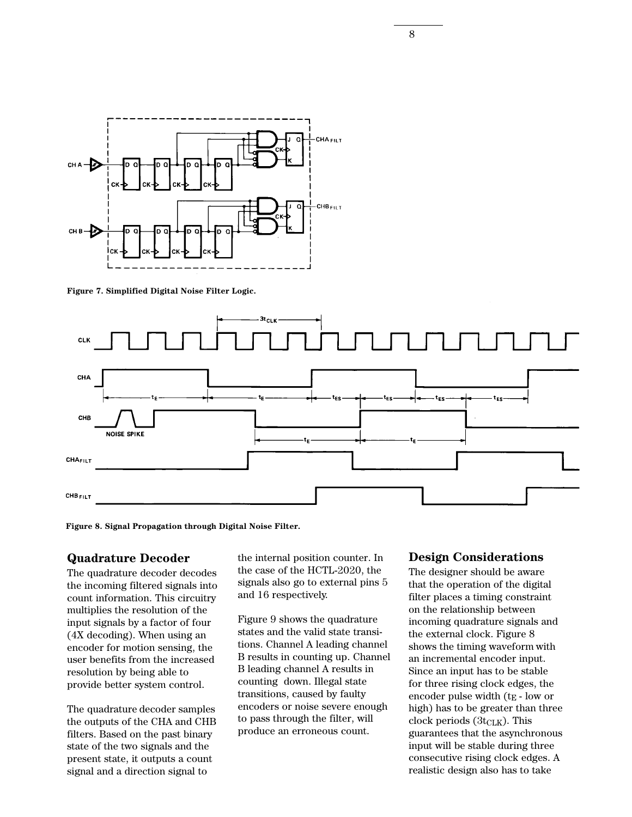

**Figure 7. Simplified Digital Noise Filter Logic.**



**Figure 8. Signal Propagation through Digital Noise Filter.**

#### **Quadrature Decoder**

The quadrature decoder decodes the incoming filtered signals into count information. This circuitry multiplies the resolution of the input signals by a factor of four (4X decoding). When using an encoder for motion sensing, the user benefits from the increased resolution by being able to provide better system control.

The quadrature decoder samples the outputs of the CHA and CHB filters. Based on the past binary state of the two signals and the present state, it outputs a count signal and a direction signal to

the internal position counter. In the case of the HCTL-2020, the signals also go to external pins 5 and 16 respectively.

Figure 9 shows the quadrature states and the valid state transitions. Channel A leading channel B results in counting up. Channel B leading channel A results in counting down. Illegal state transitions, caused by faulty encoders or noise severe enough to pass through the filter, will produce an erroneous count.

#### **Design Considerations**

The designer should be aware that the operation of the digital filter places a timing constraint on the relationship between incoming quadrature signals and the external clock. Figure 8 shows the timing waveform with an incremental encoder input. Since an input has to be stable for three rising clock edges, the encoder pulse width  $(t_E - low or)$ high) has to be greater than three clock periods  $(3t_{\text{CLK}})$ . This guarantees that the asynchronous input will be stable during three consecutive rising clock edges. A realistic design also has to take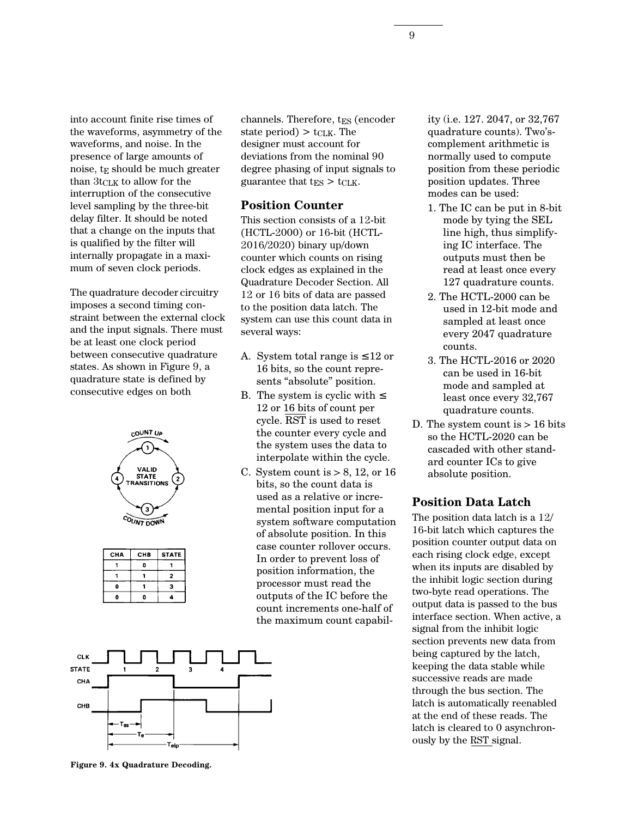into account finite rise times of the waveforms, asymmetry of the waveforms, and noise. In the presence of large amounts of noise, tE should be much greater than  $3t_{\text{CLK}}$  to allow for the interruption of the consecutive level sampling by the three-bit delay filter. It should be noted that a change on the inputs that is qualified by the filter will internally propagate in a maximum of seven clock periods.

The quadrature decoder circuitry imposes a second timing constraint between the external clock and the input signals. There must be at least one clock period between consecutive quadrature states. As shown in Figure 9, a quadrature state is defined by consecutive edges on both



| CHB | <b>STATE</b> |
|-----|--------------|
| п   |              |
|     | 2            |
|     | з            |
|     |              |
|     |              |



channels. Therefore, t<sub>ES</sub> (encoder state period)  $> t_{\text{CLK}}$ . The designer must account for deviations from the nominal 90 degree phasing of input signals to guarantee that  $t_{ES} > t_{CLK}$ .

#### **Position Counter**

This section consists of a 12-bit (HCTL-2000) or 16-bit (HCTL-2016/2020) binary up/down counter which counts on rising clock edges as explained in the Quadrature Decoder Section. All 12 or 16 bits of data are passed to the position data latch. The system can use this count data in several ways:

- A. System total range is  $\leq 12$  or 16 bits, so the count represents "absolute" position.
- B. The system is cyclic with  $\leq$ 12 or 16 bits of count per cycle. RST is used to reset the counter every cycle and the system uses the data to interpolate within the cycle.
- C. System count is  $> 8$ , 12, or 16 bits, so the count data is used as a relative or incremental position input for a system software computation of absolute position. In this case counter rollover occurs. In order to prevent loss of position information, the processor must read the outputs of the IC before the count increments one-half of the maximum count capabil-

ity (i.e. 127. 2047, or 32,767 quadrature counts). Two'scomplement arithmetic is normally used to compute position from these periodic position updates. Three modes can be used:

- 1. The IC can be put in 8-bit mode by tying the SEL line high, thus simplifying IC interface. The outputs must then be read at least once every 127 quadrature counts.
- 2. The HCTL-2000 can be used in 12-bit mode and sampled at least once every 2047 quadrature counts.
- 3. The HCTL-2016 or 2020 can be used in 16-bit mode and sampled at least once every 32,767 quadrature counts.
- D. The system count is > 16 bits so the HCTL-2020 can be cascaded with other standard counter ICs to give absolute position.

#### **Position Data Latch**

The position data latch is a 12/ 16-bit latch which captures the position counter output data on each rising clock edge, except when its inputs are disabled by the inhibit logic section during two-byte read operations. The output data is passed to the bus interface section. When active, a signal from the inhibit logic section prevents new data from being captured by the latch, keeping the data stable while successive reads are made through the bus section. The latch is automatically reenabled at the end of these reads. The latch is cleared to 0 asynchronously by the RST signal.

**Figure 9. 4x Quadrature Decoding.**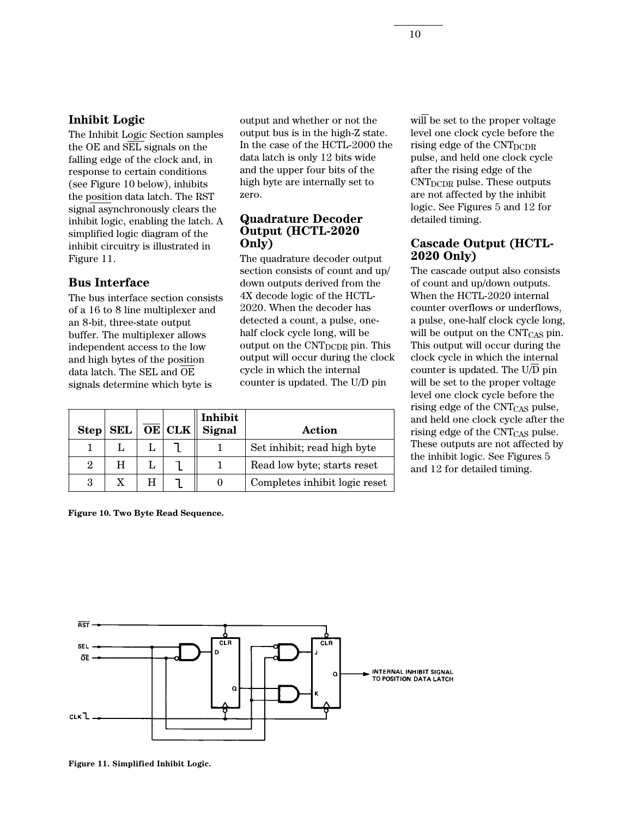#### **Inhibit Logic**

The Inhibit Logic Section samples the OE and SEL signals on the falling edge of the clock and, in response to certain conditions (see Figure 10 below), inhibits the position data latch. The RST signal asynchronously clears the inhibit logic, enabling the latch. A simplified logic diagram of the inhibit circuitry is illustrated in Figure 11.

#### **Bus Interface**

The bus interface section consists of a 16 to 8 line multiplexer and an 8-bit, three-state output buffer. The multiplexer allows independent access to the low and high bytes of the position data latch. The SEL and OE signals determine which byte is

output and whether or not the output bus is in the high-Z state. In the case of the HCTL-2000 the data latch is only 12 bits wide and the upper four bits of the high byte are internally set to zero.

#### **Quadrature Decoder Output (HCTL-2020 Only)**

The quadrature decoder output section consists of count and up/ down outputs derived from the 4X decode logic of the HCTL-2020. When the decoder has detected a count, a pulse, onehalf clock cycle long, will be output on the  $\text{CNT}_{\text{DCDR}}$  pin. This output will occur during the clock cycle in which the internal counter is updated. The U/D pin

| Step           |  | SEL $\vert \overline{\text{OE}} \vert$ CLK $\Vert$ | Inhibit<br>Signal | Action                        |
|----------------|--|----------------------------------------------------|-------------------|-------------------------------|
|                |  |                                                    |                   | Set inhibit; read high byte   |
| $\overline{2}$ |  |                                                    |                   | Read low byte; starts reset   |
| 3              |  |                                                    |                   | Completes inhibit logic reset |

**Figure 10. Two Byte Read Sequence.**

will be set to the proper voltage level one clock cycle before the rising edge of the CNT<sub>DCDR</sub> pulse, and held one clock cycle after the rising edge of the CNTDCDR pulse. These outputs are not affected by the inhibit logic. See Figures 5 and 12 for detailed timing.

#### **Cascade Output (HCTL-2020 Only)**

The cascade output also consists of count and up/down outputs. When the HCTL-2020 internal counter overflows or underflows, a pulse, one-half clock cycle long, will be output on the CNT<sub>CAS</sub> pin. This output will occur during the clock cycle in which the internal counter is updated. The U/D pin will be set to the proper voltage level one clock cycle before the rising edge of the CNT<sub>CAS</sub> pulse, and held one clock cycle after the rising edge of the  $\text{CNT}_{\text{CAS}}$  pulse. These outputs are not affected by the inhibit logic. See Figures 5 and 12 for detailed timing.



**Figure 11. Simplified Inhibit Logic.**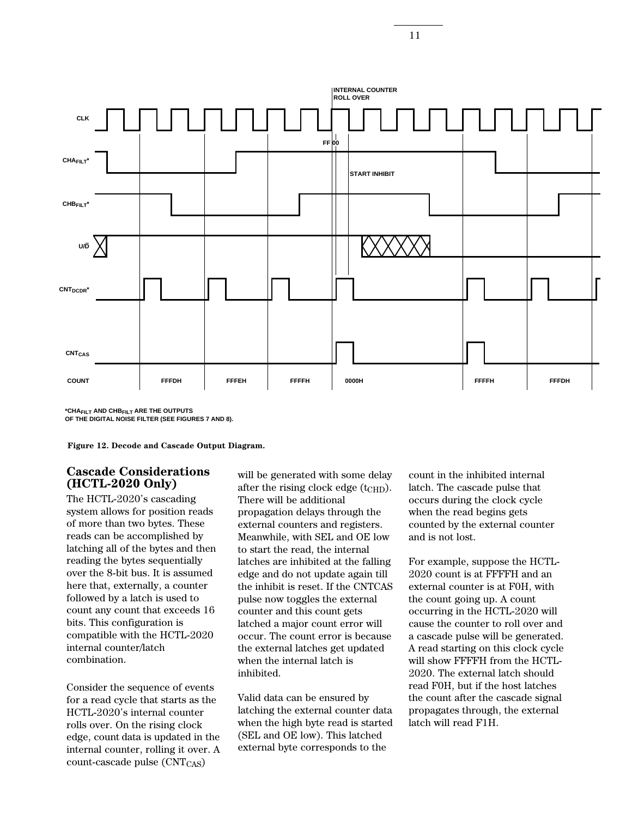**CLK CHAFILT\* U/D CHBFILT\* CNTDCDR\* CNTCAS INTERNAL COUNTER ROLL OVER FF START INHIBIT 00**

**FFFDH FFFEH FFFFH 0000H FFFFH FFFDH**

**\*CHAFILT AND CHBFILT ARE THE OUTPUTS OF THE DIGITAL NOISE FILTER (SEE FIGURES 7 AND 8).**

**COUNT**

**Figure 12. Decode and Cascade Output Diagram.**

#### **Cascade Considerations (HCTL-2020 Only)**

The HCTL-2020's cascading system allows for position reads of more than two bytes. These reads can be accomplished by latching all of the bytes and then reading the bytes sequentially over the 8-bit bus. It is assumed here that, externally, a counter followed by a latch is used to count any count that exceeds 16 bits. This configuration is compatible with the HCTL-2020 internal counter/latch combination.

Consider the sequence of events for a read cycle that starts as the HCTL-2020's internal counter rolls over. On the rising clock edge, count data is updated in the internal counter, rolling it over. A  $count\text{-}cascade\ pulse\ (CNT_{CAS})$ 

will be generated with some delay after the rising clock edge (t<sub>CHD</sub>). There will be additional propagation delays through the external counters and registers. Meanwhile, with SEL and OE low to start the read, the internal latches are inhibited at the falling edge and do not update again till the inhibit is reset. If the CNTCAS pulse now toggles the external counter and this count gets latched a major count error will occur. The count error is because the external latches get updated when the internal latch is inhibited.

Valid data can be ensured by latching the external counter data when the high byte read is started (SEL and OE low). This latched external byte corresponds to the

count in the inhibited internal latch. The cascade pulse that occurs during the clock cycle when the read begins gets counted by the external counter and is not lost.

For example, suppose the HCTL-2020 count is at FFFFH and an external counter is at F0H, with the count going up. A count occurring in the HCTL-2020 will cause the counter to roll over and a cascade pulse will be generated. A read starting on this clock cycle will show FFFFH from the HCTL-2020. The external latch should read F0H, but if the host latches the count after the cascade signal propagates through, the external latch will read F1H.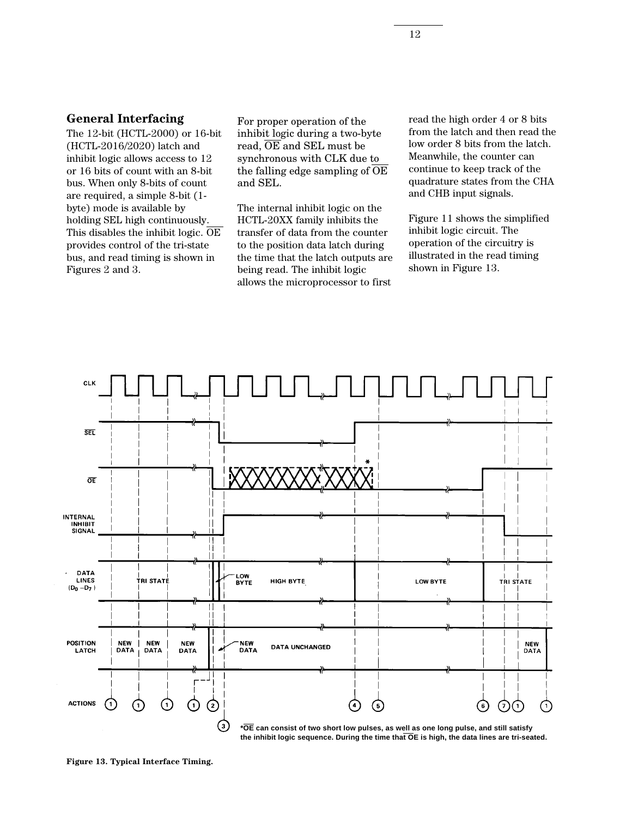#### **General Interfacing**

The 12-bit (HCTL-2000) or 16-bit (HCTL-2016/2020) latch and inhibit logic allows access to 12 or 16 bits of count with an 8-bit bus. When only 8-bits of count are required, a simple 8-bit (1 byte) mode is available by holding SEL high continuously. This disables the inhibit logic.  $\overline{OE}$ provides control of the tri-state bus, and read timing is shown in Figures 2 and 3.

For proper operation of the inhibit logic during a two-byte read,  $\overline{OE}$  and SEL must be synchronous with CLK due to the falling edge sampling of  $\overline{OE}$ and SEL.

The internal inhibit logic on the HCTL-20XX family inhibits the transfer of data from the counter to the position data latch during the time that the latch outputs are being read. The inhibit logic allows the microprocessor to first

read the high order 4 or 8 bits from the latch and then read the low order 8 bits from the latch. Meanwhile, the counter can continue to keep track of the quadrature states from the CHA and CHB input signals.

Figure 11 shows the simplified inhibit logic circuit. The operation of the circuitry is illustrated in the read timing shown in Figure 13.



**\*OE can consist of two short low pulses, as well as one long pulse, and still satisfy the inhibit logic sequence. During the time that OE is high, the data lines are tri-seated.**

**Figure 13. Typical Interface Timing.**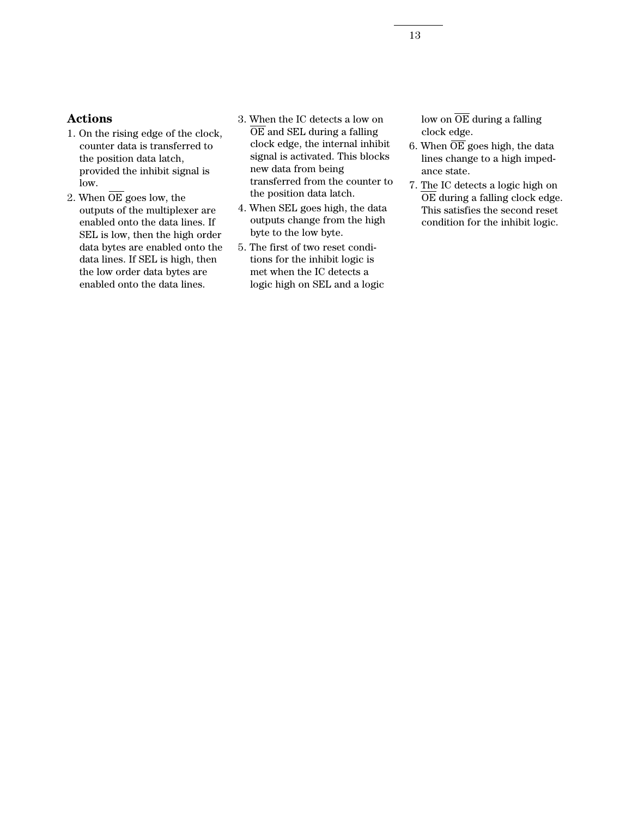## **Actions**

- 1. On the rising edge of the clock, counter data is transferred to the position data latch, provided the inhibit signal is low.
- 2. When OE goes low, the outputs of the multiplexer are enabled onto the data lines. If SEL is low, then the high order data bytes are enabled onto the data lines. If SEL is high, then the low order data bytes are enabled onto the data lines.
- 3. When the IC detects a low on  $\overline{\text{OE}}$  and SEL during a falling clock edge, the internal inhibit signal is activated. This blocks new data from being transferred from the counter to the position data latch.
- 4. When SEL goes high, the data outputs change from the high byte to the low byte.
- 5. The first of two reset conditions for the inhibit logic is met when the IC detects a logic high on SEL and a logic

low on  $\overline{\text{OE}}$  during a falling clock edge.

- 6. When  $\overline{OE}$  goes high, the data lines change to a high impedance state.
- 7. The IC detects a logic high on OE during a falling clock edge. This satisfies the second reset condition for the inhibit logic.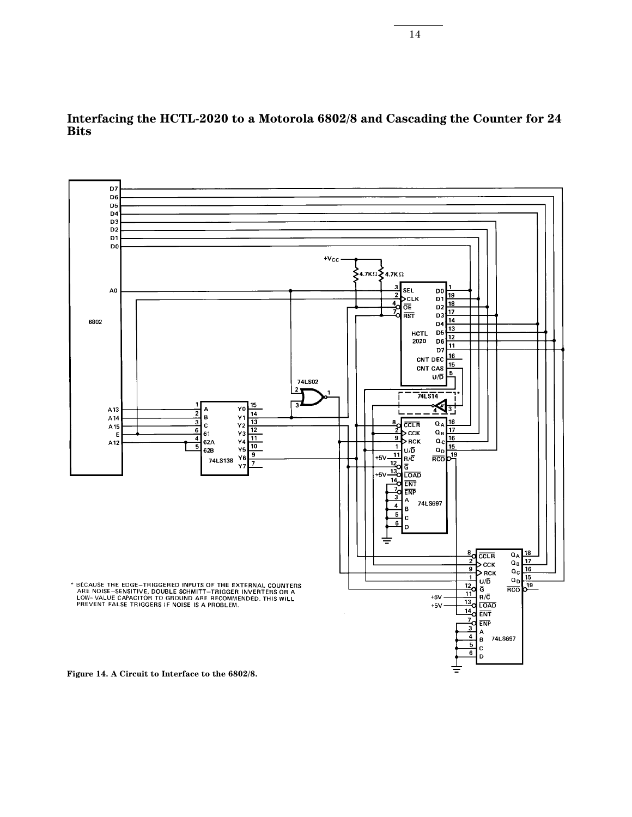

**Interfacing the HCTL-2020 to a Motorola 6802/8 and Cascading the Counter for 24 Bits**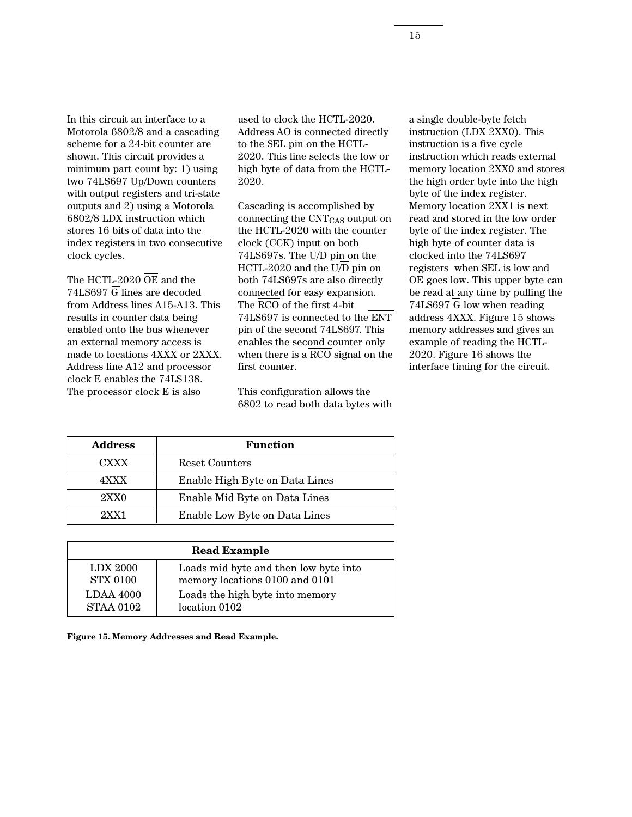In this circuit an interface to a Motorola 6802/8 and a cascading scheme for a 24-bit counter are shown. This circuit provides a minimum part count by: 1) using two 74LS697 Up/Down counters with output registers and tri-state outputs and 2) using a Motorola 6802/8 LDX instruction which stores 16 bits of data into the index registers in two consecutive clock cycles.

The HCTL-2020 OE and the  $74LS697$  G lines are decoded from Address lines A15-A13. This results in counter data being enabled onto the bus whenever an external memory access is made to locations 4XXX or 2XXX. Address line A12 and processor clock E enables the 74LS138. The processor clock E is also

used to clock the HCTL-2020. Address AO is connected directly to the SEL pin on the HCTL-2020. This line selects the low or high byte of data from the HCTL-2020.

Cascading is accomplished by connecting the CNTCAS output on the HCTL-2020 with the counter clock (CCK) input on both 74LS697s. The U/D pin on the HCTL-2020 and the U/D pin on both 74LS697s are also directly connected for easy expansion. The RCO of the first 4-bit 74LS697 is connected to the ENT pin of the second 74LS697. This enables the second counter only when there is a RCO signal on the first counter.

This configuration allows the 6802 to read both data bytes with a single double-byte fetch instruction (LDX 2XX0). This instruction is a five cycle instruction which reads external memory location 2XX0 and stores the high order byte into the high byte of the index register. Memory location 2XX1 is next read and stored in the low order byte of the index register. The high byte of counter data is clocked into the 74LS697 registers when SEL is low and OE goes low. This upper byte can be read at any time by pulling the 74LS697 G low when reading address 4XXX. Figure 15 shows memory addresses and gives an example of reading the HCTL-2020. Figure 16 shows the interface timing for the circuit.

| <b>Address</b> | <b>Function</b>                |
|----------------|--------------------------------|
| <b>CXXX</b>    | <b>Reset Counters</b>          |
| 4XXX           | Enable High Byte on Data Lines |
| 2XX0           | Enable Mid Byte on Data Lines  |
| 9XX1           | Enable Low Byte on Data Lines  |

| <b>Read Example</b> |                                       |  |  |  |
|---------------------|---------------------------------------|--|--|--|
| <b>LDX 2000</b>     | Loads mid byte and then low byte into |  |  |  |
| <b>STX 0100</b>     | memory locations 0100 and 0101        |  |  |  |
| <b>LDAA 4000</b>    | Loads the high byte into memory       |  |  |  |
| <b>STAA 0102</b>    | location 0102                         |  |  |  |

**Figure 15. Memory Addresses and Read Example.**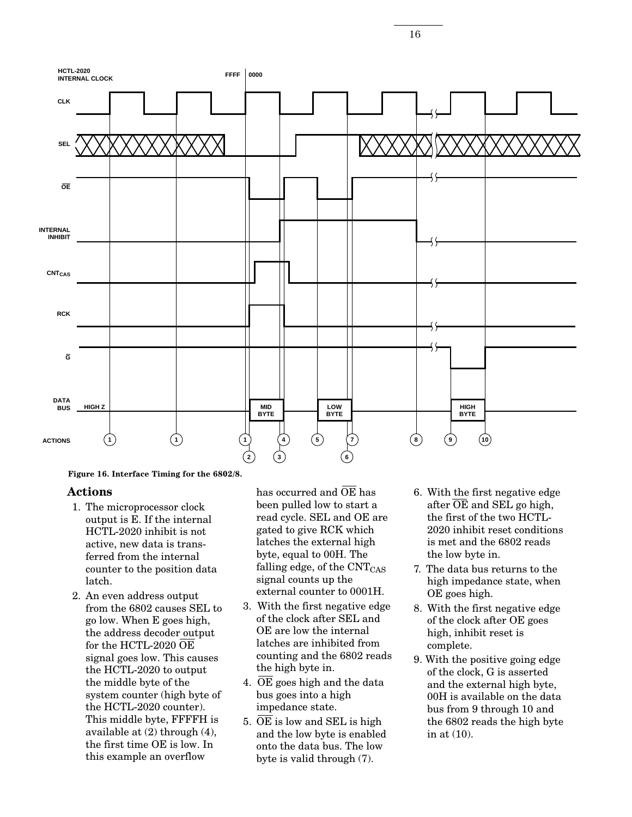

**Figure 16. Interface Timing for the 6802/8.**

#### **Actions**

- 1. The microprocessor clock output is E. If the internal HCTL-2020 inhibit is not active, new data is transferred from the internal counter to the position data latch.
- 2. An even address output from the 6802 causes SEL to go low. When E goes high, the address decoder output for the HCTL-2020 OE signal goes low. This causes the HCTL-2020 to output the middle byte of the system counter (high byte of the HCTL-2020 counter). This middle byte, FFFFH is available at (2) through (4), the first time OE is low. In this example an overflow

has occurred and OE has been pulled low to start a read cycle. SEL and OE are gated to give RCK which latches the external high byte, equal to 00H. The falling edge, of the  $\text{CNT}_{\text{CAS}}$ signal counts up the external counter to 0001H.

- 3. With the first negative edge of the clock after SEL and OE are low the internal latches are inhibited from counting and the 6802 reads the high byte in.
- 4. OE goes high and the data bus goes into a high impedance state.
- 5.  $\overline{OE}$  is low and SEL is high and the low byte is enabled onto the data bus. The low byte is valid through (7).
- 6. With the first negative edge after  $\overline{OE}$  and SEL go high, the first of the two HCTL-2020 inhibit reset conditions is met and the 6802 reads the low byte in.
- 7. The data bus returns to the high impedance state, when OE goes high.
- 8. With the first negative edge of the clock after OE goes high, inhibit reset is complete.
- 9. With the positive going edge of the clock, G is asserted and the external high byte, 00H is available on the data bus from 9 through 10 and the 6802 reads the high byte in at (10).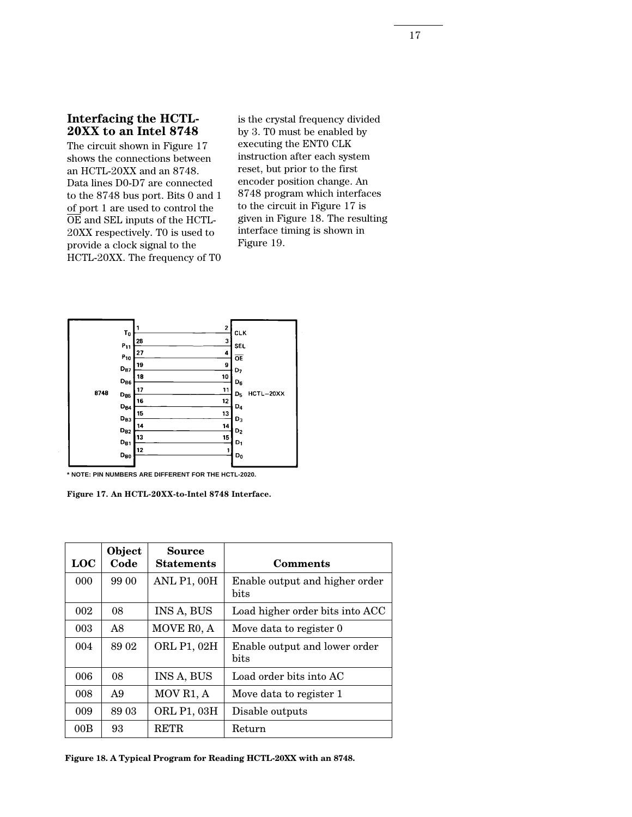#### **Interfacing the HCTL-20XX to an Intel 8748**

The circuit shown in Figure 17 shows the connections between an HCTL-20XX and an 8748. Data lines D0-D7 are connected to the 8748 bus port. Bits 0 and 1 of port 1 are used to control the OE and SEL inputs of the HCTL-20XX respectively. T0 is used to provide a clock signal to the HCTL-20XX. The frequency of T0 is the crystal frequency divided by 3. T0 must be enabled by executing the ENT0 CLK instruction after each system reset, but prior to the first encoder position change. An 8748 program which interfaces to the circuit in Figure 17 is given in Figure 18. The resulting interface timing is shown in Figure 19.



**\* NOTE: PIN NUMBERS ARE DIFFERENT FOR THE HCTL-2020.**

**Figure 17. An HCTL-20XX-to-Intel 8748 Interface.**

| <b>LOC</b> | Object<br>Code | <b>Source</b><br><b>Statements</b> | <b>Comments</b>                        |
|------------|----------------|------------------------------------|----------------------------------------|
| 000        | 99 00          | <b>ANL P1, 00H</b>                 | Enable output and higher order<br>bits |
| 002        | 08             | INS A, BUS                         | Load higher order bits into ACC        |
| 003        | A8             | MOVE RO, A                         | Move data to register 0                |
| 004        | 89 02          | ORL P1, 02H                        | Enable output and lower order<br>bits  |
| 006        | 08             | INS A, BUS                         | Load order bits into AC                |
| 008        | A <sub>9</sub> | MOV R1, A                          | Move data to register 1                |
| 009        | 89 03          | ORL P1, 03H                        | Disable outputs                        |
| 00B        | 93             | <b>RETR</b>                        | Return                                 |

**Figure 18. A Typical Program for Reading HCTL-20XX with an 8748.**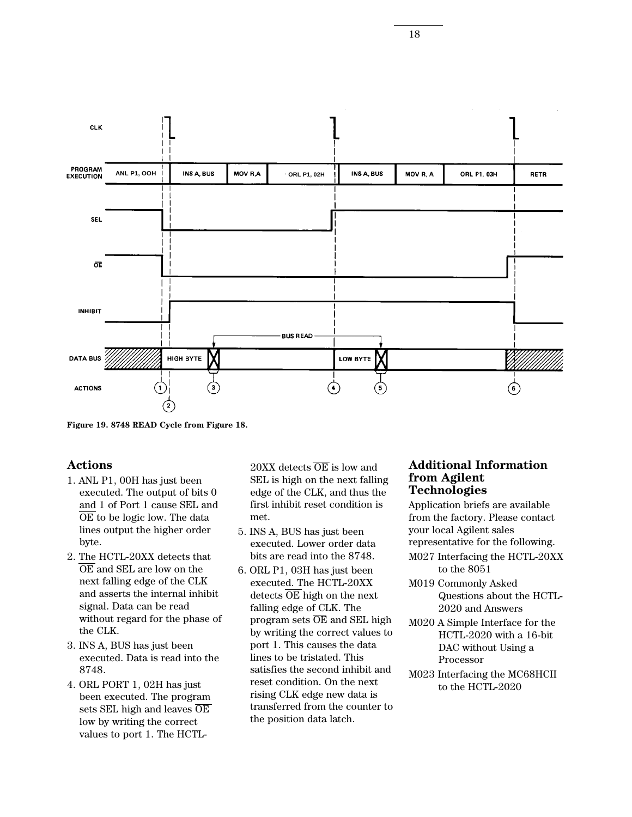

**Figure 19. 8748 READ Cycle from Figure 18.**

#### **Actions**

- 1. ANL P1, 00H has just been executed. The output of bits 0 and 1 of Port 1 cause SEL and OE to be logic low. The data lines output the higher order byte.
- 2. The HCTL-20XX detects that OE and SEL are low on the next falling edge of the CLK and asserts the internal inhibit signal. Data can be read without regard for the phase of the CLK.
- 3. INS A, BUS has just been executed. Data is read into the 8748.
- 4. ORL PORT 1, 02H has just been executed. The program sets SEL high and leaves OE low by writing the correct values to port 1. The HCTL-

 $20XX$  detects  $\overline{OE}$  is low and SEL is high on the next falling edge of the CLK, and thus the first inhibit reset condition is met.

- 5. INS A, BUS has just been executed. Lower order data bits are read into the 8748.
- 6. ORL P1, 03H has just been executed. The HCTL-20XX detects  $\overline{OE}$  high on the next falling edge of CLK. The program sets  $\overline{OE}$  and SEL high by writing the correct values to port 1. This causes the data lines to be tristated. This satisfies the second inhibit and reset condition. On the next rising CLK edge new data is transferred from the counter to the position data latch.

#### **Additional Information from Agilent Technologies**

Application briefs are available from the factory. Please contact your local Agilent sales representative for the following.

- M027 Interfacing the HCTL-20XX to the 8051
- M019 Commonly Asked Questions about the HCTL-2020 and Answers
- M020 A Simple Interface for the HCTL-2020 with a 16-bit DAC without Using a Processor
- M023 Interfacing the MC68HCII to the HCTL-2020